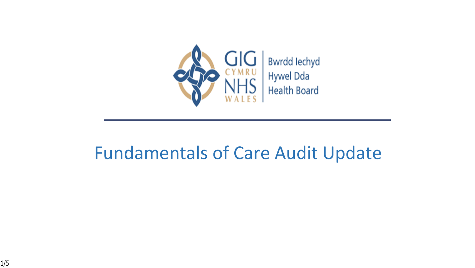

### Fundamentals of Care Audit Update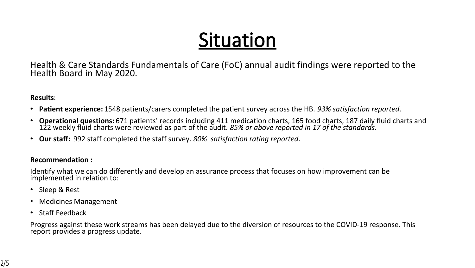# **Situation**

Health & Care Standards Fundamentals of Care (FoC) annual audit findings were reported to the Health Board in May 2020.

#### **Results**:

- **Patient experience:** 1548 patients/carers completed the patient survey across the HB. *93% satisfaction reported*.
- **Operational questions:** 671 patients' records including 411 medication charts, 165 food charts, 187 daily fluid charts and 122 weekly fluid charts were reviewed as part of the audit. *85% or above reported in 17 of the standards.*
- **Our staff:** 992 staff completed the staff survey. *80% satisfaction rating reported*.

#### **Recommendation :**

Identify what we can do differently and develop an assurance process that focuses on how improvement can be implemented in relation to:

- Sleep & Rest
- Medicines Management
- Staff Feedback

Progress against these work streams has been delayed due to the diversion of resources to the COVID-19 response. This report provides a progress update.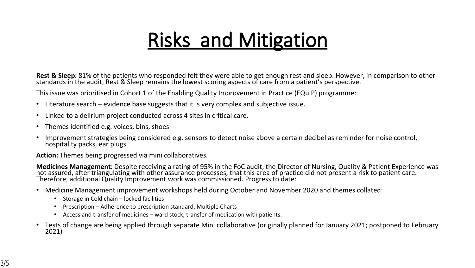## **Risks and Mitigation**

**Rest & Sleep**: 81% of the patients who responded felt they were able to get enough rest and sleep. However, in comparison to other standards in the audit, Rest & Sleep remains the lowest scoring aspects of care from a patient's perspective.

This issue was prioritised in Cohort 1 of the Enabling Quality Improvement in Practice (EQuIP) programme:

- Literature search evidence base suggests that it is very complex and subjective issue.
- Linked to a delirium project conducted across 4 sites in critical care.
- Themes identified e.g. voices, bins, shoes
- Improvement strategies being considered e.g. sensors to detect noise above a certain decibel as reminder for noise control, hospitality packs, ear plugs.

**Action:** Themes being progressed via mini collaboratives.

**Medicines Management**: Despite receiving a rating of 95% in the FoC audit, the Director of Nursing, Quality & Patient Experience was not assured, after triangulating with other assurance processes, that this area of practice did not present a risk to patient care. Therefore, additional Quality Improvement work was commissioned. Progress to date:

- Medicine Management improvement workshops held during October and November 2020 and themes collated:
	- Storage in Cold chain locked facilities
	- Prescription Adherence to prescription standard, Multiple Charts
	- Access and transfer of medicines ward stock, transfer of medication with patients.
- Tests of change are being applied through separate Mini collaborative (originally planned for January 2021; postponed to February 2021)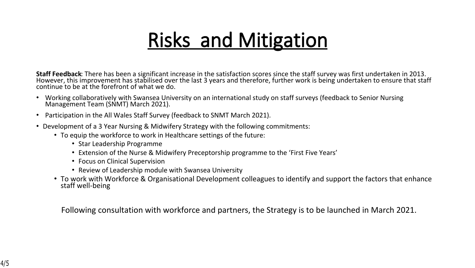## **Risks and Mitigation**

**Staff Feedback**: There has been a significant increase in the satisfaction scores since the staff survey was first undertaken in 2013. However, this improvement has stabilised over the last 3 years and therefore, further work is being undertaken to ensure that staff continue to be at the forefront of what we do.

- Working collaboratively with Swansea University on an international study on staff surveys (feedback to Senior Nursing Management Team (SNMT) March 2021).
- Participation in the All Wales Staff Survey (feedback to SNMT March 2021).
- Development of a 3 Year Nursing & Midwifery Strategy with the following commitments:
	- To equip the workforce to work in Healthcare settings of the future:
		- Star Leadership Programme
		- Extension of the Nurse & Midwifery Preceptorship programme to the 'First Five Years'
		- Focus on Clinical Supervision
		- Review of Leadership module with Swansea University
	- To work with Workforce & Organisational Development colleagues to identify and support the factors that enhance staff well-being

Following consultation with workforce and partners, the Strategy is to be launched in March 2021.